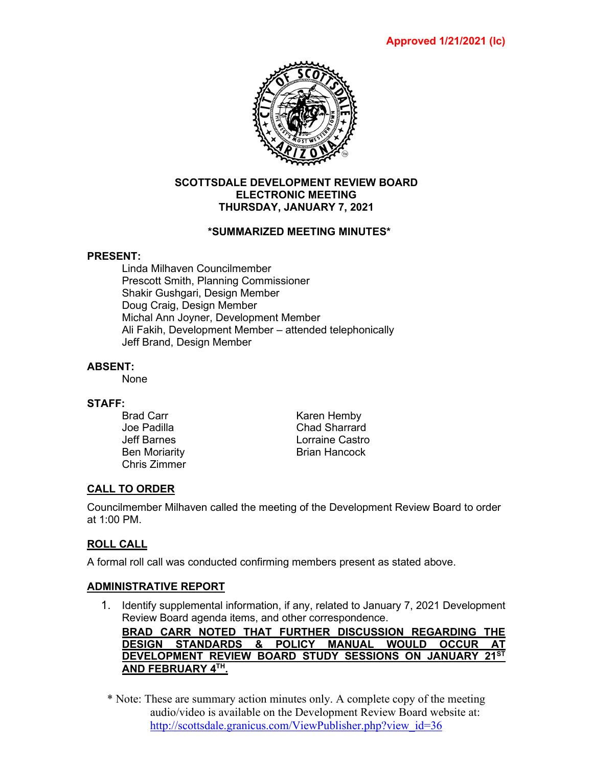

## **SCOTTSDALE DEVELOPMENT REVIEW BOARD ELECTRONIC MEETING THURSDAY, JANUARY 7, 2021**

## **\*SUMMARIZED MEETING MINUTES\***

## **PRESENT:**

Linda Milhaven Councilmember Prescott Smith, Planning Commissioner Shakir Gushgari, Design Member Doug Craig, Design Member Michal Ann Joyner, Development Member Ali Fakih, Development Member – attended telephonically Jeff Brand, Design Member

## **ABSENT:**

None

# **STAFF:**

Chris Zimmer

Karen Hemby Joe Padilla Chad Sharrard Jeff Barnes Lorraine Castro Ben Moriarity **Brian Hancock** 

# **CALL TO ORDER**

Councilmember Milhaven called the meeting of the Development Review Board to order at 1:00 PM.

# **ROLL CALL**

A formal roll call was conducted confirming members present as stated above.

## **ADMINISTRATIVE REPORT**

1. Identify supplemental information, if any, related to January 7, 2021 Development Review Board agenda items, and other correspondence.

**BRAD CARR NOTED THAT FURTHER DISCUSSION REGARDING THE DESIGN STANDARDS & POLICY MANUAL WOULD OCCUR AT DEVELOPMENT REVIEW BOARD STUDY SESSIONS ON JANUARY 21ST AND FEBRUARY 4TH.**

\* Note: These are summary action minutes only. A complete copy of the meeting audio/video is available on the Development Review Board website at: [http://scottsdale.granicus.com/ViewPublisher.php?view\\_id=36](http://scottsdale.granicus.com/ViewPublisher.php?view_id=36)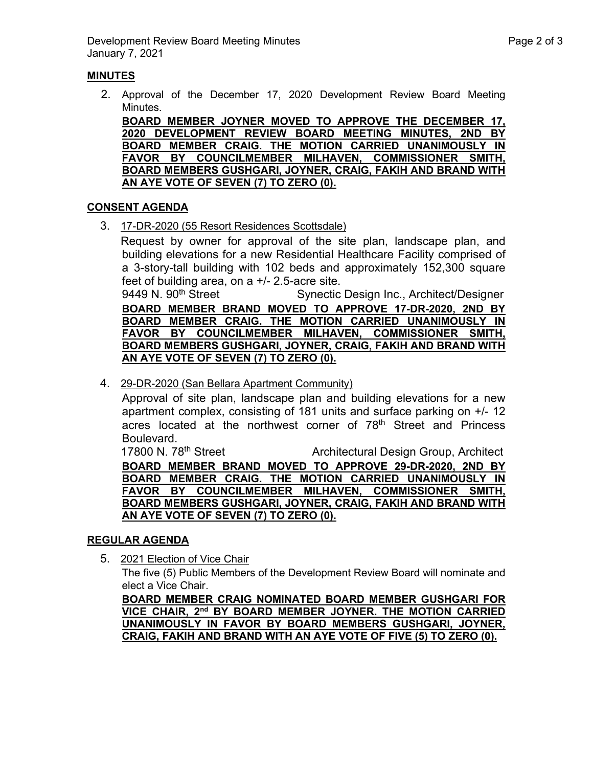## **MINUTES**

2. Approval of the December 17, 2020 Development Review Board Meeting Minutes.

**BOARD MEMBER JOYNER MOVED TO APPROVE THE DECEMBER 17, 2020 DEVELOPMENT REVIEW BOARD MEETING MINUTES, 2ND BY BOARD MEMBER CRAIG. THE MOTION CARRIED UNANIMOUSLY IN FAVOR BY COUNCILMEMBER MILHAVEN, COMMISSIONER SMITH, BOARD MEMBERS GUSHGARI, JOYNER, CRAIG, FAKIH AND BRAND WITH AN AYE VOTE OF SEVEN (7) TO ZERO (0).**

## **CONSENT AGENDA**

3. 17-DR-2020 (55 Resort Residences Scottsdale)

Request by owner for approval of the site plan, landscape plan, and building elevations for a new Residential Healthcare Facility comprised of a 3-story-tall building with 102 beds and approximately 152,300 square feet of building area, on a  $+/- 2.5$ -acre site.<br>9449 N. 90<sup>th</sup> Street Synectic

Synectic Design Inc., Architect/Designer **BOARD MEMBER BRAND MOVED TO APPROVE 17-DR-2020, 2ND BY BOARD MEMBER CRAIG. THE MOTION CARRIED UNANIMOUSLY IN FAVOR BY COUNCILMEMBER MILHAVEN, COMMISSIONER SMITH, BOARD MEMBERS GUSHGARI, JOYNER, CRAIG, FAKIH AND BRAND WITH AN AYE VOTE OF SEVEN (7) TO ZERO (0).**

4. 29-DR-2020 (San Bellara Apartment Community)

Approval of site plan, landscape plan and building elevations for a new apartment complex, consisting of 181 units and surface parking on +/- 12 acres located at the northwest corner of 78<sup>th</sup> Street and Princess Boulevard.

17800 N. 78<sup>th</sup> Street **Architectural Design Group, Architect BOARD MEMBER BRAND MOVED TO APPROVE 29-DR-2020, 2ND BY BOARD MEMBER CRAIG. THE MOTION CARRIED UNANIMOUSLY IN FAVOR BY COUNCILMEMBER MILHAVEN, COMMISSIONER SMITH, BOARD MEMBERS GUSHGARI, JOYNER, CRAIG, FAKIH AND BRAND WITH AN AYE VOTE OF SEVEN (7) TO ZERO (0).**

## **REGULAR AGENDA**

5. 2021 Election of Vice Chair

The five (5) Public Members of the Development Review Board will nominate and elect a Vice Chair.

**BOARD MEMBER CRAIG NOMINATED BOARD MEMBER GUSHGARI FOR VICE CHAIR, 2nd BY BOARD MEMBER JOYNER. THE MOTION CARRIED UNANIMOUSLY IN FAVOR BY BOARD MEMBERS GUSHGARI, JOYNER, CRAIG, FAKIH AND BRAND WITH AN AYE VOTE OF FIVE (5) TO ZERO (0).**